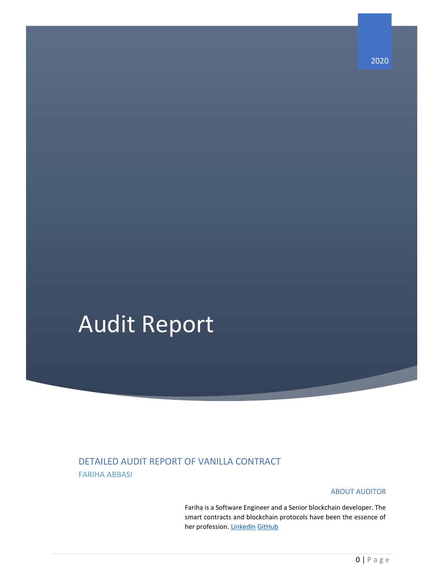# Audit Report

### DETAILED AUDIT REPORT OF VANILLA CONTRACT FARIHA ABBASI

#### ABOUT AUDITOR

Fariha is a Software Engineer and a Senior blockchain developer. The smart contracts and blockchain protocols have been the essence of her profession[. LinkedIn](https://www.linkedin.com/in/fariha-abbasi-546100163/) [GitHub](https://github.com/Fariha1123/)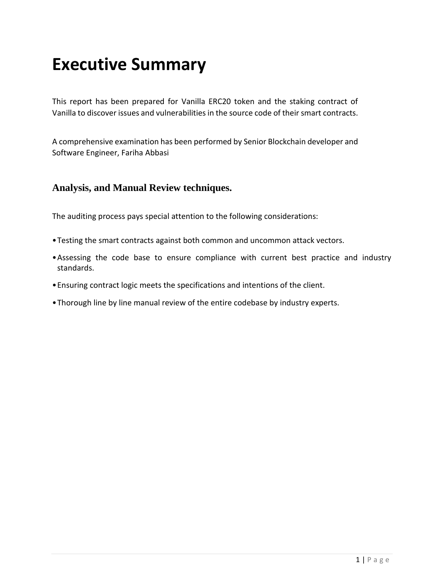### **Executive Summary**

This report has been prepared for Vanilla ERC20 token and the staking contract of Vanilla to discover issues and vulnerabilities in the source code of their smart contracts.

A comprehensive examination has been performed by Senior Blockchain developer and Software Engineer, Fariha Abbasi

#### **Analysis, and Manual Review techniques.**

The auditing process pays special attention to the following considerations:

- •Testing the smart contracts against both common and uncommon attack vectors.
- •Assessing the code base to ensure compliance with current best practice and industry standards.
- •Ensuring contract logic meets the specifications and intentions of the client.
- •Thorough line by line manual review of the entire codebase by industry experts.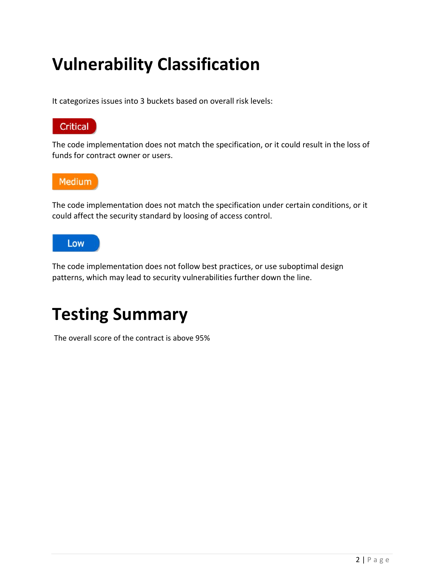# **Vulnerability Classification**

It categorizes issues into 3 buckets based on overall risk levels:



The code implementation does not match the specification, or it could result in the loss of funds for contract owner or users.



The code implementation does not match the specification under certain conditions, or it could affect the security standard by loosing of access control.



The code implementation does not follow best practices, or use suboptimal design patterns, which may lead to security vulnerabilities further down the line.



The overall score of the contract is above 95%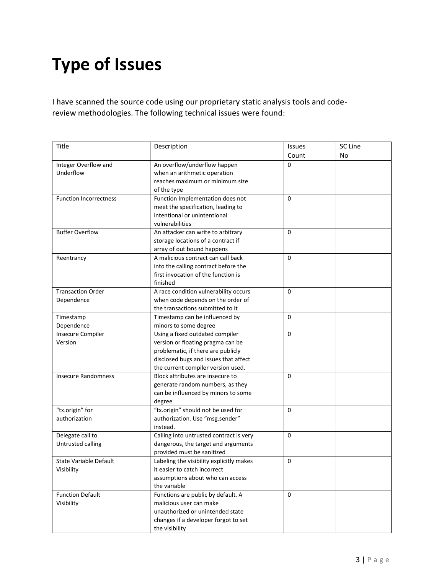# **Type of Issues**

I have scanned the source code using our proprietary static analysis tools and codereview methodologies. The following technical issues were found:

| Title                         | Description                              | <b>Issues</b> | SC Line |
|-------------------------------|------------------------------------------|---------------|---------|
|                               |                                          | Count         | No      |
| Integer Overflow and          | An overflow/underflow happen             | $\Omega$      |         |
| Underflow                     | when an arithmetic operation             |               |         |
|                               | reaches maximum or minimum size          |               |         |
|                               | of the type                              |               |         |
| <b>Function Incorrectness</b> | Function Implementation does not         | 0             |         |
|                               | meet the specification, leading to       |               |         |
|                               | intentional or unintentional             |               |         |
|                               | vulnerabilities                          |               |         |
| <b>Buffer Overflow</b>        | An attacker can write to arbitrary       | $\Omega$      |         |
|                               | storage locations of a contract if       |               |         |
|                               | array of out bound happens               |               |         |
| Reentrancy                    | A malicious contract can call back       | $\Omega$      |         |
|                               | into the calling contract before the     |               |         |
|                               | first invocation of the function is      |               |         |
|                               | finished                                 |               |         |
| <b>Transaction Order</b>      | A race condition vulnerability occurs    | 0             |         |
| Dependence                    | when code depends on the order of        |               |         |
|                               | the transactions submitted to it         |               |         |
| Timestamp                     | Timestamp can be influenced by           | 0             |         |
| Dependence                    | minors to some degree                    |               |         |
| <b>Insecure Compiler</b>      | Using a fixed outdated compiler          | 0             |         |
| Version                       | version or floating pragma can be        |               |         |
|                               | problematic, if there are publicly       |               |         |
|                               | disclosed bugs and issues that affect    |               |         |
|                               | the current compiler version used.       |               |         |
| <b>Insecure Randomness</b>    | Block attributes are insecure to         | 0             |         |
|                               | generate random numbers, as they         |               |         |
|                               | can be influenced by minors to some      |               |         |
|                               | degree                                   |               |         |
| "tx.origin" for               | "tx.origin" should not be used for       | 0             |         |
| authorization                 | authorization. Use "msg.sender"          |               |         |
|                               | instead.                                 |               |         |
| Delegate call to              | Calling into untrusted contract is very  | 0             |         |
| Untrusted calling             | dangerous, the target and arguments      |               |         |
|                               | provided must be sanitized               |               |         |
| <b>State Variable Default</b> | Labeling the visibility explicitly makes | 0             |         |
| Visibility                    | it easier to catch incorrect             |               |         |
|                               | assumptions about who can access         |               |         |
|                               | the variable                             |               |         |
| <b>Function Default</b>       | Functions are public by default. A       | 0             |         |
| Visibility                    | malicious user can make                  |               |         |
|                               | unauthorized or unintended state         |               |         |
|                               | changes if a developer forgot to set     |               |         |
|                               | the visibility                           |               |         |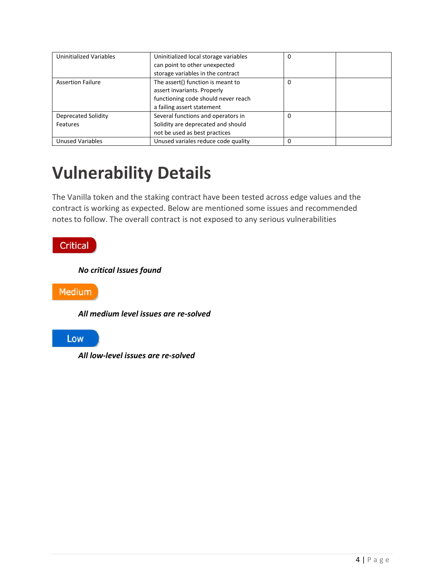| Uninitialized Variables  | Uninitialized local storage variables | 0 |
|--------------------------|---------------------------------------|---|
|                          | can point to other unexpected         |   |
|                          | storage variables in the contract     |   |
| <b>Assertion Failure</b> | The assert() function is meant to     | 0 |
|                          | assert invariants. Properly           |   |
|                          | functioning code should never reach   |   |
|                          | a failing assert statement            |   |
| Deprecated Solidity      | Several functions and operators in    | 0 |
| Features                 | Solidity are deprecated and should    |   |
|                          | not be used as best practices         |   |
| <b>Unused Variables</b>  | Unused variales reduce code quality   | 0 |

# **Vulnerability Details**

The Vanilla token and the staking contract have been tested across edge values and the contract is working as expected. Below are mentioned some issues and recommended notes to follow. The overall contract is not exposed to any serious vulnerabilities

### Critical

*No critical Issues found*

Medium

*All medium level issues are re-solved*

Low

*All low-level issues are re-solved*